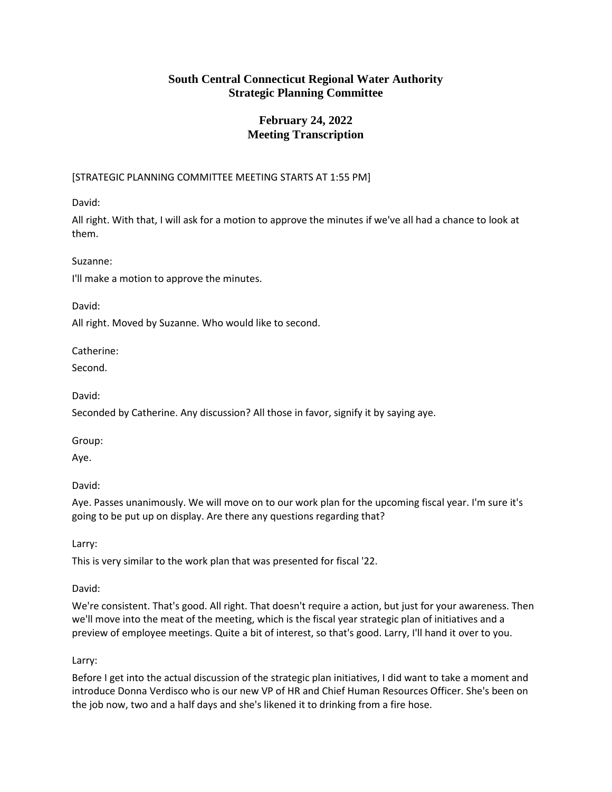# **February 24, 2022 Meeting Transcription**

# [STRATEGIC PLANNING COMMITTEE MEETING STARTS AT 1:55 PM]

David:

All right. With that, I will ask for a motion to approve the minutes if we've all had a chance to look at them.

Suzanne:

I'll make a motion to approve the minutes.

David:

All right. Moved by Suzanne. Who would like to second.

Catherine:

Second.

David:

Seconded by Catherine. Any discussion? All those in favor, signify it by saying aye.

Group:

Aye.

David:

Aye. Passes unanimously. We will move on to our work plan for the upcoming fiscal year. I'm sure it's going to be put up on display. Are there any questions regarding that?

Larry:

This is very similar to the work plan that was presented for fiscal '22.

David:

We're consistent. That's good. All right. That doesn't require a action, but just for your awareness. Then we'll move into the meat of the meeting, which is the fiscal year strategic plan of initiatives and a preview of employee meetings. Quite a bit of interest, so that's good. Larry, I'll hand it over to you.

# Larry:

Before I get into the actual discussion of the strategic plan initiatives, I did want to take a moment and introduce Donna Verdisco who is our new VP of HR and Chief Human Resources Officer. She's been on the job now, two and a half days and she's likened it to drinking from a fire hose.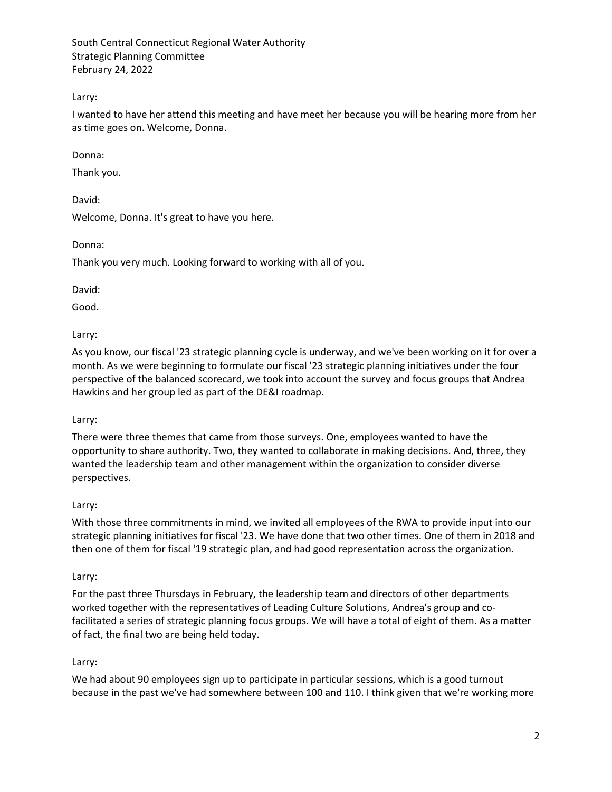Larry:

I wanted to have her attend this meeting and have meet her because you will be hearing more from her as time goes on. Welcome, Donna.

Donna:

Thank you.

David:

Welcome, Donna. It's great to have you here.

Donna:

Thank you very much. Looking forward to working with all of you.

David:

Good.

Larry:

As you know, our fiscal '23 strategic planning cycle is underway, and we've been working on it for over a month. As we were beginning to formulate our fiscal '23 strategic planning initiatives under the four perspective of the balanced scorecard, we took into account the survey and focus groups that Andrea Hawkins and her group led as part of the DE&I roadmap.

Larry:

There were three themes that came from those surveys. One, employees wanted to have the opportunity to share authority. Two, they wanted to collaborate in making decisions. And, three, they wanted the leadership team and other management within the organization to consider diverse perspectives.

# Larry:

With those three commitments in mind, we invited all employees of the RWA to provide input into our strategic planning initiatives for fiscal '23. We have done that two other times. One of them in 2018 and then one of them for fiscal '19 strategic plan, and had good representation across the organization.

# Larry:

For the past three Thursdays in February, the leadership team and directors of other departments worked together with the representatives of Leading Culture Solutions, Andrea's group and cofacilitated a series of strategic planning focus groups. We will have a total of eight of them. As a matter of fact, the final two are being held today.

# Larry:

We had about 90 employees sign up to participate in particular sessions, which is a good turnout because in the past we've had somewhere between 100 and 110. I think given that we're working more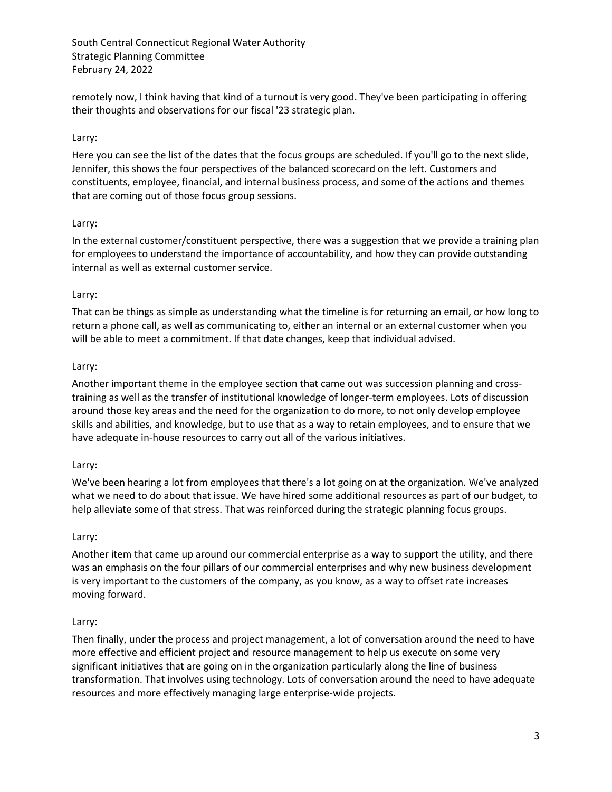remotely now, I think having that kind of a turnout is very good. They've been participating in offering their thoughts and observations for our fiscal '23 strategic plan.

### Larry:

Here you can see the list of the dates that the focus groups are scheduled. If you'll go to the next slide, Jennifer, this shows the four perspectives of the balanced scorecard on the left. Customers and constituents, employee, financial, and internal business process, and some of the actions and themes that are coming out of those focus group sessions.

#### Larry:

In the external customer/constituent perspective, there was a suggestion that we provide a training plan for employees to understand the importance of accountability, and how they can provide outstanding internal as well as external customer service.

### Larry:

That can be things as simple as understanding what the timeline is for returning an email, or how long to return a phone call, as well as communicating to, either an internal or an external customer when you will be able to meet a commitment. If that date changes, keep that individual advised.

### Larry:

Another important theme in the employee section that came out was succession planning and crosstraining as well as the transfer of institutional knowledge of longer-term employees. Lots of discussion around those key areas and the need for the organization to do more, to not only develop employee skills and abilities, and knowledge, but to use that as a way to retain employees, and to ensure that we have adequate in-house resources to carry out all of the various initiatives.

#### Larry:

We've been hearing a lot from employees that there's a lot going on at the organization. We've analyzed what we need to do about that issue. We have hired some additional resources as part of our budget, to help alleviate some of that stress. That was reinforced during the strategic planning focus groups.

#### Larry:

Another item that came up around our commercial enterprise as a way to support the utility, and there was an emphasis on the four pillars of our commercial enterprises and why new business development is very important to the customers of the company, as you know, as a way to offset rate increases moving forward.

# Larry:

Then finally, under the process and project management, a lot of conversation around the need to have more effective and efficient project and resource management to help us execute on some very significant initiatives that are going on in the organization particularly along the line of business transformation. That involves using technology. Lots of conversation around the need to have adequate resources and more effectively managing large enterprise-wide projects.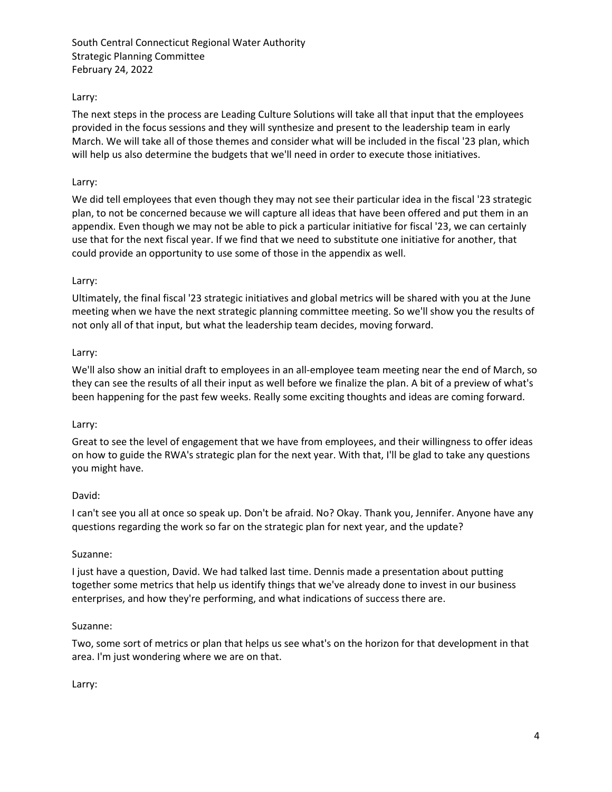# Larry:

The next steps in the process are Leading Culture Solutions will take all that input that the employees provided in the focus sessions and they will synthesize and present to the leadership team in early March. We will take all of those themes and consider what will be included in the fiscal '23 plan, which will help us also determine the budgets that we'll need in order to execute those initiatives.

#### Larry:

We did tell employees that even though they may not see their particular idea in the fiscal '23 strategic plan, to not be concerned because we will capture all ideas that have been offered and put them in an appendix. Even though we may not be able to pick a particular initiative for fiscal '23, we can certainly use that for the next fiscal year. If we find that we need to substitute one initiative for another, that could provide an opportunity to use some of those in the appendix as well.

### Larry:

Ultimately, the final fiscal '23 strategic initiatives and global metrics will be shared with you at the June meeting when we have the next strategic planning committee meeting. So we'll show you the results of not only all of that input, but what the leadership team decides, moving forward.

#### Larry:

We'll also show an initial draft to employees in an all-employee team meeting near the end of March, so they can see the results of all their input as well before we finalize the plan. A bit of a preview of what's been happening for the past few weeks. Really some exciting thoughts and ideas are coming forward.

#### Larry:

Great to see the level of engagement that we have from employees, and their willingness to offer ideas on how to guide the RWA's strategic plan for the next year. With that, I'll be glad to take any questions you might have.

#### David:

I can't see you all at once so speak up. Don't be afraid. No? Okay. Thank you, Jennifer. Anyone have any questions regarding the work so far on the strategic plan for next year, and the update?

#### Suzanne:

I just have a question, David. We had talked last time. Dennis made a presentation about putting together some metrics that help us identify things that we've already done to invest in our business enterprises, and how they're performing, and what indications of success there are.

#### Suzanne:

Two, some sort of metrics or plan that helps us see what's on the horizon for that development in that area. I'm just wondering where we are on that.

Larry: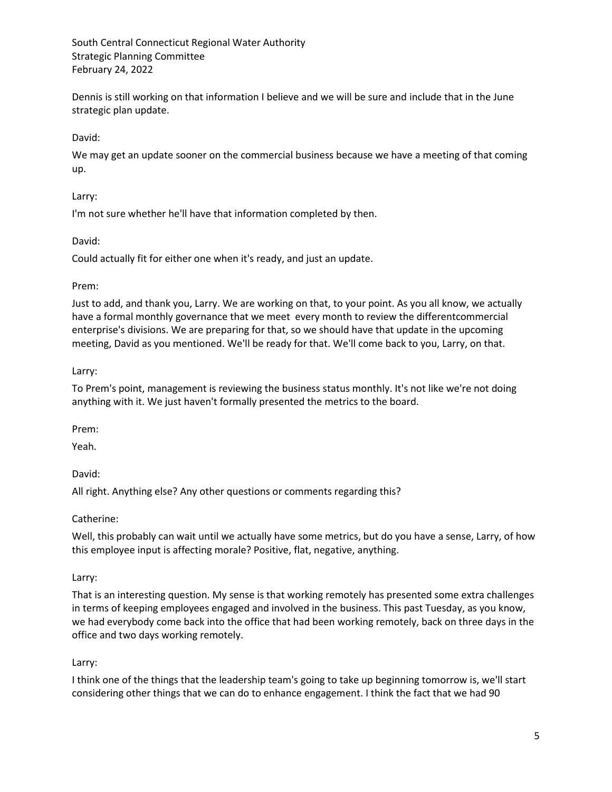Dennis is still working on that information I believe and we will be sure and include that in the June strategic plan update.

### David:

We may get an update sooner on the commercial business because we have a meeting of that coming up.

#### Larry:

I'm not sure whether he'll have that information completed by then.

### David:

Could actually fit for either one when it's ready, and just an update.

### Prem:

Just to add, and thank you, Larry. We are working on that, to your point. As you all know, we actually have a formal monthly governance that we meet every month to review the differentcommercial enterprise's divisions. We are preparing for that, so we should have that update in the upcoming meeting, David as you mentioned. We'll be ready for that. We'll come back to you, Larry, on that.

### Larry:

To Prem's point, management is reviewing the business status monthly. It's not like we're not doing anything with it. We just haven't formally presented the metrics to the board.

Prem:

Yeah.

David:

All right. Anything else? Any other questions or comments regarding this?

Catherine:

Well, this probably can wait until we actually have some metrics, but do you have a sense, Larry, of how this employee input is affecting morale? Positive, flat, negative, anything.

# Larry:

That is an interesting question. My sense is that working remotely has presented some extra challenges in terms of keeping employees engaged and involved in the business. This past Tuesday, as you know, we had everybody come back into the office that had been working remotely, back on three days in the office and two days working remotely.

# Larry:

I think one of the things that the leadership team's going to take up beginning tomorrow is, we'll start considering other things that we can do to enhance engagement. I think the fact that we had 90